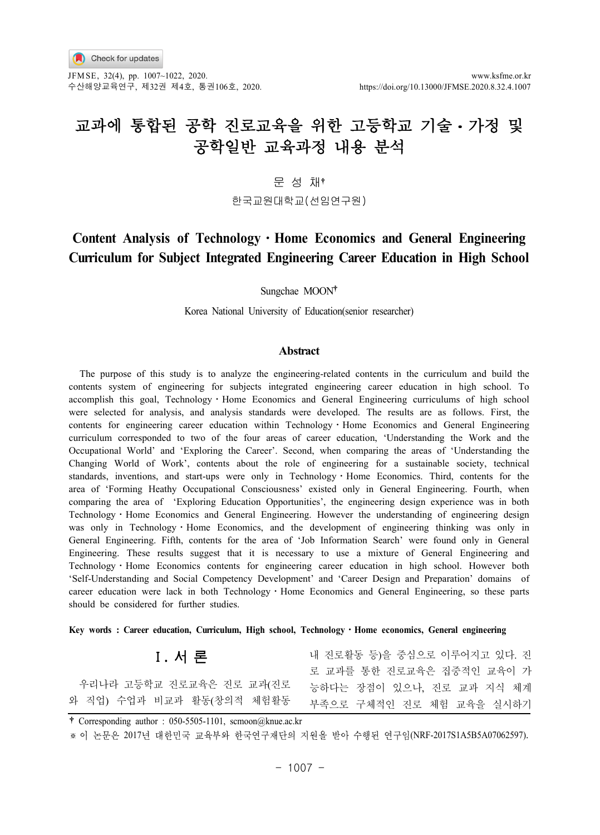JFMSE, 32(4), pp. 1007~1022, 2020. www.ksfme.or.kr 수산해양교육연구, 제32권 제4호, 통권106호, 2020. https://doi.org/10.13000/JFMSE.2020.8.32.4.1007

# 교과에 통합된 공학 진로교육을 위한 고등학교 기술 • 가정 및 공학일반 교육과정 내용 분석

문 성 채

한국교원대학교(선임연구원)

## **Content Analysis of Technology**ㆍ**Home Economics and General Engineering Curriculum for Subject Integrated Engineering Career Education in High School**

Sungchae MOON

Korea National University of Education(senior researcher)

#### **Abstract**

The purpose of this study is to analyze the engineering-related contents in the curriculum and build the contents system of engineering for subjects integrated engineering career education in high school. To accomplish this goal, Technology • Home Economics and General Engineering curriculums of high school were selected for analysis, and analysis standards were developed. The results are as follows. First, the contents for engineering career education within Technology · Home Economics and General Engineering curriculum corresponded to two of the four areas of career education, 'Understanding the Work and the Occupational World' and 'Exploring the Career'. Second, when comparing the areas of 'Understanding the Changing World of Work', contents about the role of engineering for a sustainable society, technical standards, inventions, and start-ups were only in Technology · Home Economics. Third, contents for the area of 'Forming Heathy Occupational Consciousness' existed only in General Engineering. Fourth, when comparing the area of 'Exploring Education Opportunities', the engineering design experience was in both Technology • Home Economics and General Engineering. However the understanding of engineering design was only in Technology · Home Economics, and the development of engineering thinking was only in General Engineering. Fifth, contents for the area of 'Job Information Search' were found only in General Engineering. These results suggest that it is necessary to use a mixture of General Engineering and Technology • Home Economics contents for engineering career education in high school. However both 'Self-Understanding and Social Competency Development' and 'Career Design and Preparation' domains of career education were lack in both Technology · Home Economics and General Engineering, so these parts should be considered for further studies.

**Key words : Career education, Curriculum, High school, Technology**ㆍ**Home economics, General engineering**

## Ⅰ**.** 서 론

우리나라 고등학교 진로교육은 진로 교과(진로 와 직업) 수업과 비교과 활동(창의적 체험활동 로 교과를 통한 진로교육은 집중적인 교육이 가 능하다는 장점이 있으나, 진로 교과 지식 체계 부족으로 구체적인 진로 체험 교육을 실시하기

내 진로활동 등)을 중심으로 이루어지고 있다. 진

 $\ddagger$  Corresponding author : 050-5505-1101, scmoon@knue.ac.kr

※ 이 논문은 2017년 대한민국 교육부와 한국연구재단의 지원을 받아 수행된 연구임(NRF-2017S1A5B5A07062597).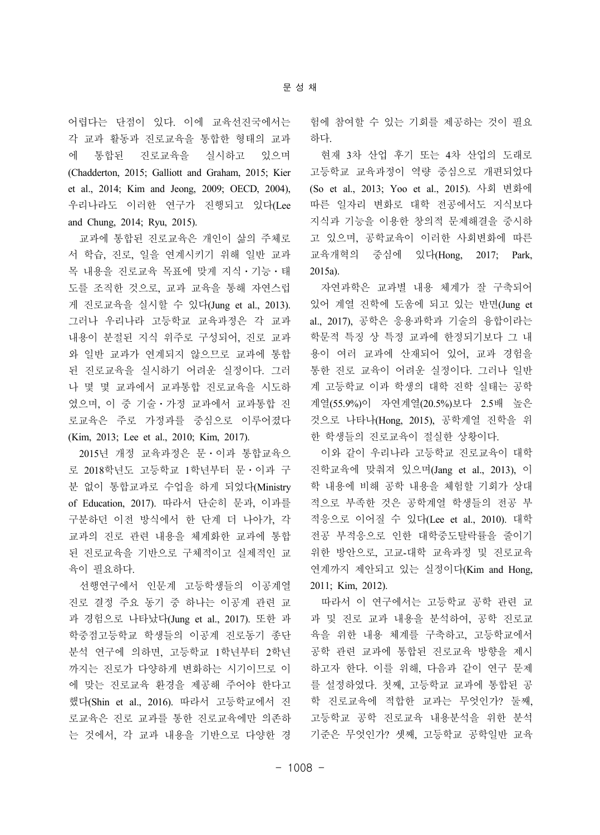어렵다는 단점이 있다. 이에 교육선진국에서는 각 교과 활동과 진로교육을 통합한 형태의 교과 에 통합된 진로교육을 실시하고 있으며 (Chadderton, 2015; Galliott and Graham, 2015; Kier et al., 2014; Kim and Jeong, 2009; OECD, 2004), 우리나라도 이러한 연구가 진행되고 있다(Lee and Chung, 2014; Ryu, 2015).

교과에 통합된 진로교육은 개인이 삶의 주체로 서 학습, 진로, 일을 연계시키기 위해 일반 교과 목 내용을 진로교육 목표에 맞게 지식ㆍ기능ㆍ태 도를 조직한 것으로, 교과 교육을 통해 자연스럽 게 진로교육을 실시할 수 있다(Jung et al., 2013). 그러나 우리나라 고등학교 교육과정은 각 교과 내용이 분절된 지식 위주로 구성되어, 진로 교과 와 일반 교과가 연계되지 않으므로 교과에 통합 된 진로교육을 실시하기 어려운 실정이다. 그러 나 몇 몇 교과에서 교과통합 진로교육을 시도하 였으며, 이 중 기술ㆍ가정 교과에서 교과통합 진 로교육은 주로 가정과를 중심으로 이루어졌다 (Kim, 2013; Lee et al., 2010; Kim, 2017).

2015년 개정 교육과정은 문ㆍ이과 통합교육으 로 2018학년도 고등학교 1학년부터 문ㆍ이과 구 분 없이 통합교과로 수업을 하게 되었다(Ministry of Education, 2017). 따라서 단순히 문과, 이과를 구분하던 이전 방식에서 한 단계 더 나아가, 각 교과의 진로 관련 내용을 체계화한 교과에 통합 된 진로교육을 기반으로 구체적이고 실제적인 교 육이 필요하다.

선행연구에서 인문계 고등학생들의 이공계열 진로 결정 주요 동기 중 하나는 이공계 관련 교 과 경험으로 나타났다(Jung et al., 2017). 또한 과 학중점고등학교 학생들의 이공계 진로동기 종단 분석 연구에 의하면, 고등학교 1학년부터 2학년 까지는 진로가 다양하게 변화하는 시기이므로 이 에 맞는 진로교육 환경을 제공해 주어야 한다고 했다(Shin et al., 2016). 따라서 고등학교에서 진 로교육은 진로 교과를 통한 진로교육에만 의존하 는 것에서, 각 교과 내용을 기반으로 다양한 경

험에 참여할 수 있는 기회를 제공하는 것이 필요 하다.

현재 3차 산업 후기 또는 4차 산업의 도래로 고등학교 교육과정이 역량 중심으로 개편되었다 (So et al., 2013; Yoo et al., 2015). 사회 변화에 따른 일자리 변화로 대학 전공에서도 지식보다 지식과 기능을 이용한 창의적 문제해결을 중시하 고 있으며, 공학교육이 이러한 사회변화에 따른 교육개혁의 중심에 있다(Hong, 2017; Park, 2015a).

자연과학은 교과별 내용 체계가 잘 구축되어 있어 계열 진학에 도움에 되고 있는 반면(Jung et al., 2017), 공학은 응용과학과 기술의 융합이라는 학문적 특징 상 특정 교과에 한정되기보다 그 내 용이 여러 교과에 산재되어 있어, 교과 경험을 통한 진로 교육이 어려운 실정이다. 그러나 일반 계 고등학교 이과 학생의 대학 진학 실태는 공학 계열(55.9%)이 자연계열(20.5%)보다 2.5배 높은 것으로 나타나(Hong, 2015), 공학계열 진학을 위 한 학생들의 진로교육이 절실한 상황이다.

이와 같이 우리나라 고등학교 진로교육이 대학 진학교육에 맞춰져 있으며(Jang et al., 2013), 이 학 내용에 비해 공학 내용을 체험할 기회가 상대 적으로 부족한 것은 공학계열 학생들의 전공 부 적응으로 이어질 수 있다(Lee et al., 2010). 대학 전공 부적응으로 인한 대학중도탈락률을 줄이기 위한 방안으로, 고교-대학 교육과정 및 진로교육 연계까지 제안되고 있는 실정이다(Kim and Hong, 2011; Kim, 2012).

따라서 이 연구에서는 고등학교 공학 관련 교 과 및 진로 교과 내용을 분석하여, 공학 진로교 육을 위한 내용 체계를 구축하고, 고등학교에서 공학 관련 교과에 통합된 진로교육 방향을 제시 하고자 한다. 이를 위해, 다음과 같이 연구 문제 를 설정하였다. 첫째, 고등학교 교과에 통합된 공 학 진로교육에 적합한 교과는 무엇인가? 둘째, 고등학교 공학 진로교육 내용분석을 위한 분석 기준은 무엇인가? 셋째, 고등학교 공학일반 교육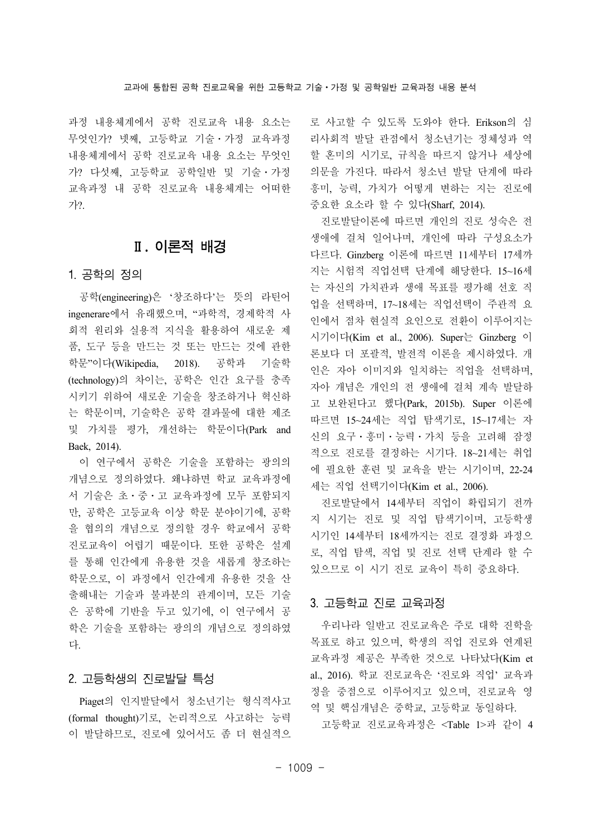과정 내용체계에서 공학 진로교육 내용 요소는 무엇인가? 넷째, 고등학교 기술ㆍ가정 교육과정 내용체계에서 공학 진로교육 내용 요소는 무엇인 가? 다섯째, 고등학교 공학일반 및 기술ㆍ가정 교육과정 내 공학 진로교육 내용체계는 어떠한 가?.

### Ⅱ**.** 이론적 배경

#### 1. 공학의 정의

공학(engineering)은 '창조하다'는 뜻의 라틴어 ingenerare에서 유래했으며, "과학적, 경제학적 사 회적 원리와 실용적 지식을 활용하여 새로운 제 품, 도구 등을 만드는 것 또는 만드는 것에 관한 학문"이다(Wikipedia, 2018). 공학과 기술학 (technology)의 차이는, 공학은 인간 요구를 충족 시키기 위하여 새로운 기술을 창조하거나 혁신하 는 학문이며, 기술학은 공학 결과물에 대한 제조 및 가치를 평가, 개선하는 학문이다(Park and Baek, 2014).

이 연구에서 공학은 기술을 포함하는 광의의 개념으로 정의하였다. 왜냐하면 학교 교육과정에 서 기술은 초ㆍ중ㆍ고 교육과정에 모두 포함되지 만, 공학은 고등교육 이상 학문 분야이기에, 공학 을 협의의 개념으로 정의할 경우 학교에서 공학 진로교육이 어렵기 때문이다. 또한 공학은 설계 를 통해 인간에게 유용한 것을 새롭게 창조하는 학문으로, 이 과정에서 인간에게 유용한 것을 산 출해내는 기술과 불과분의 관계이며, 모든 기술 은 공학에 기반을 두고 있기에, 이 연구에서 공 학은 기술을 포함하는 광의의 개념으로 정의하였 다.

### 2. 고등학생의 진로발달 특성

Piaget의 인지발달에서 청소년기는 형식적사고 (formal thought)기로, 논리적으로 사고하는 능력 이 발달하므로, 진로에 있어서도 좀 더 현실적으 로 사고할 수 있도록 도와야 한다. Erikson의 심 리사회적 발달 관점에서 청소년기는 정체성과 역 할 혼미의 시기로, 규칙을 따르지 않거나 세상에 의문을 가진다. 따라서 청소년 발달 단계에 따라 흥미, 능력, 가치가 어떻게 변하는 지는 진로에 중요한 요소라 할 수 있다(Sharf, 2014).

진로발달이론에 따르면 개인의 진로 성숙은 전 생애에 걸쳐 일어나며, 개인에 따라 구성요소가 다르다. Ginzberg 이론에 따르면 11세부터 17세까 지는 시험적 직업선택 단계에 해당한다. 15~16세 는 자신의 가치관과 생애 목표를 평가해 선호 직 업을 선택하며, 17~18세는 직업선택이 주관적 요 인에서 점차 현실적 요인으로 전환이 이루어지는 시기이다(Kim et al., 2006). Super는 Ginzberg 이 론보다 더 포괄적, 발전적 이론을 제시하였다. 개 인은 자아 이미지와 일치하는 직업을 선택하며, 자아 개념은 개인의 전 생애에 걸쳐 계속 발달하 고 보완된다고 했다(Park, 2015b). Super 이론에 따르면 15~24세는 직업 탐색기로, 15~17세는 자 신의 요구ㆍ흥미ㆍ능력ㆍ가치 등을 고려해 잠정 적으로 진로를 결정하는 시기다. 18~21세는 취업 에 필요한 훈련 및 교육을 받는 시기이며, 22-24 세는 직업 선택기이다(Kim et al., 2006).

진로발달에서 14세부터 직업이 확립되기 전까 지 시기는 진로 및 직업 탐색기이며, 고등학생 시기인 14세부터 18세까지는 진로 결정화 과정으 로, 직업 탐색, 직업 및 진로 선택 단계라 할 수 있으므로 이 시기 진로 교육이 특히 중요하다.

#### 3. 고등학교 진로 교육과정

우리나라 일반고 진로교육은 주로 대학 진학을 목표로 하고 있으며, 학생의 직업 진로와 연계된 교육과정 제공은 부족한 것으로 나타났다(Kim et al., 2016). 학교 진로교육은 '진로와 직업' 교육과 정을 중점으로 이루어지고 있으며, 진로교육 영 역 및 핵심개념은 중학교, 고등학교 동일하다.

고등학교 진로교육과정은 <Table 1>과 같이 4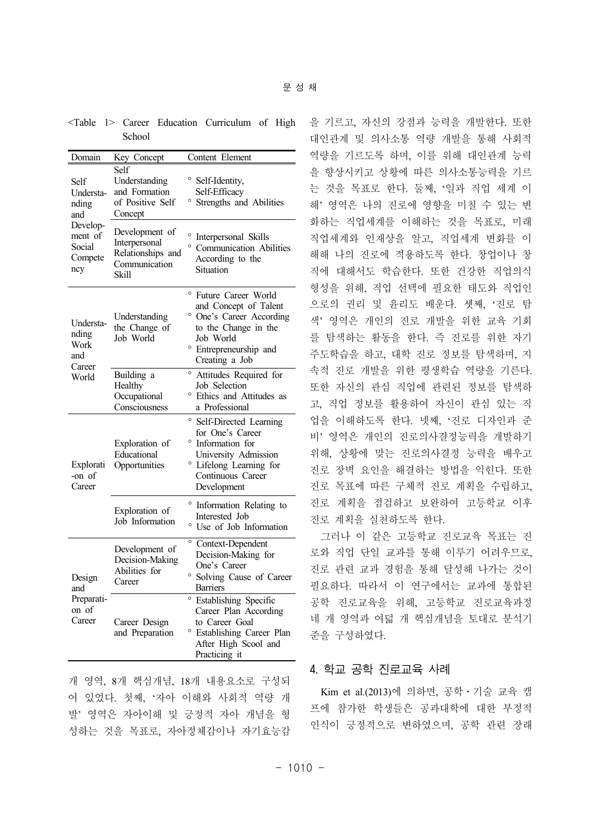<Table 1> Career Education Curriculum of High School

| Domain                                               | Key Concept                                                                           | Content Element                                                                                                                                                                 |  |  |
|------------------------------------------------------|---------------------------------------------------------------------------------------|---------------------------------------------------------------------------------------------------------------------------------------------------------------------------------|--|--|
| Self<br>Understa-<br>nding<br>and                    | Self<br>Understanding<br>and Formation<br>of Positive Self<br>Concept                 | ° Self-Identity,<br>Self-Efficacy<br>° Strengths and Abilities                                                                                                                  |  |  |
| Develop-<br>ment of<br>Social<br>Compete<br>ncy      | Development of<br>Interpersonal<br>Relationships and<br>Communication<br><b>Skill</b> | Interpersonal Skills<br>° Communication Abilities<br>According to the<br>Situation                                                                                              |  |  |
| Understa-<br>nding<br>Work<br>and<br>Career<br>World | Understanding<br>the Change of<br>Job World                                           | $\circ$<br>Future Career World<br>and Concept of Talent<br><sup>o</sup> One's Career According<br>to the Change in the<br>Job World<br>° Entrepreneurship and<br>Creating a Job |  |  |
|                                                      | Building a<br>Healthy<br>Occupational<br>Consciousness                                | $\circ$<br>Attitudes Required for<br>Job Selection<br>° Ethics and Attitudes as<br>a Professional                                                                               |  |  |
| Explorati<br>-on of<br>Career                        | Exploration of<br>Educational<br>Opportunities                                        | $\circ$<br>Self-Directed Learning<br>for One's Career<br>° Information for<br>University Admission<br>° Lifelong Learning for<br>Continuous Career<br>Development               |  |  |
|                                                      | Exploration of<br>Job Information                                                     | $\circ$<br>Information Relating to<br>Interested Job<br>° Use of Job Information                                                                                                |  |  |
| Design<br>and<br>Preparati-<br>on of<br>Career       | Development of<br>Decision-Making<br>Abilities for<br>Career                          | Context-Dependent<br>Decision-Making for<br>One's Career<br>° Solving Cause of Career<br><b>Barriers</b>                                                                        |  |  |
|                                                      | Career Design<br>and Preparation                                                      | <sup>o</sup> Establishing Specific<br>Career Plan According<br>to Career Goal<br><sup>o</sup> Establishing Career Plan<br>After High Scool and<br>Practicing it                 |  |  |

개 영역, 8개 핵심개념, 18개 내용요소로 구성되 어 있었다. 첫째, '자아 이해와 사회적 역량 개 발' 영역은 자아이해 및 긍정적 자아 개념을 형 성하는 것을 목표로, 자아정체감이나 자기효능감 을 기르고, 자신의 강점과 능력을 개발한다. 또한 대인관계 및 의사소통 역량 개발을 통해 사회적 역량을 기르도록 하며, 이를 위해 대인관계 능력 을 향상시키고 상황에 따른 의사소통능력을 기르 는 것을 목표로 한다. 둘째, '일과 직업 세계 이 해' 영역은 나의 진로에 영향을 미칠 수 있는 변 화하는 직업세계를 이해하는 것을 목표로, 미래 직업세계와 인재상을 알고, 직업세계 변화를 이 해해 나의 진로에 적용하도록 한다. 창업이나 창 직에 대해서도 학습한다. 또한 건강한 직업의식 형성을 위해, 직업 선택에 필요한 태도와 직업인 으로의 권리 및 윤리도 배운다. 셋째, '진로 탐 색' 영역은 개인의 진로 개발을 위한 교육 기회 를 탐색하는 활동을 한다. 즉 진로를 위한 자기 주도학습을 하고, 대학 진로 정보를 탐색하며, 지 속적 진로 개발을 위한 평생학습 역량을 기른다. 또한 자신의 관심 직업에 관련된 정보를 탐색하 고, 직업 정보를 활용하여 자신이 관심 있는 직 업을 이해하도록 한다. 넷째, '진로 디자인과 준 비' 영역은 개인의 진로의사결정능력을 개발하기 위해, 상황에 맞는 진로의사결정 능력을 배우고 진로 장벽 요인을 해결하는 방법을 익힌다. 또한 진로 목표에 따른 구체적 진로 계획을 수립하고, 진로 계획을 점검하고 보완하여 고등학교 이후 진로 계획을 실천하도록 한다.

그러나 이 같은 고등학교 진로교육 목표는 진 로와 직업 단일 교과를 통해 이루기 어려우므로, 진로 관련 교과 경험을 통해 달성해 나가는 것이 필요하다. 따라서 이 연구에서는 교과에 통합된 공학 진로교육을 위해, 고등학교 진로교육과정 네 개 영역과 여덟 개 핵심개념을 토대로 분석기 준을 구성하였다.

#### 4. 학교 공학 진로교육 사례

Kim et al.(2013)에 의하면, 공학ㆍ기술 교육 캠 프에 참가한 학생들은 공과대학에 대한 부정적 인식이 긍정적으로 변하였으며, 공학 관련 장래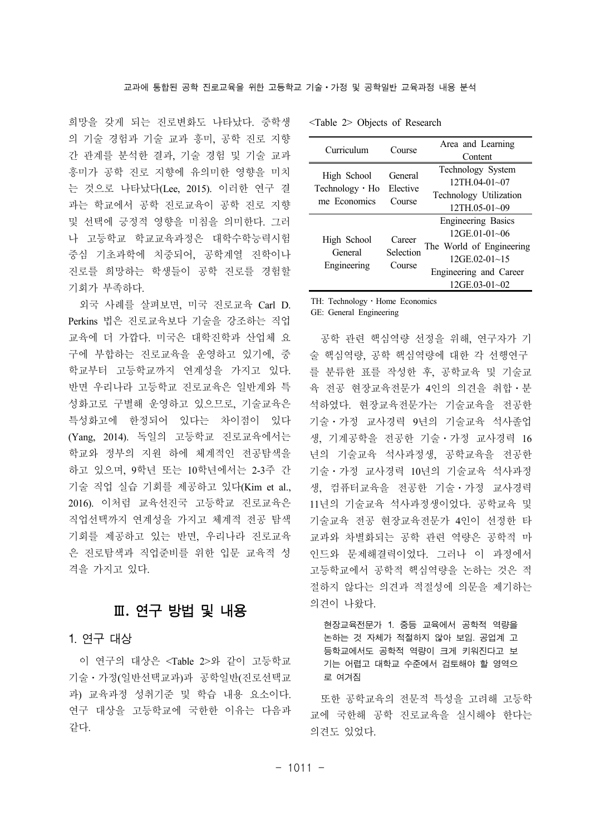희망을 갖게 되는 진로변화도 나타났다. 중학생 의 기술 경험과 기술 교과 흥미, 공학 진로 지향 간 관계를 분석한 결과, 기술 경험 및 기술 교과 흥미가 공학 진로 지향에 유의미한 영향을 미치 는 것으로 나타났다(Lee, 2015). 이러한 연구 결 과는 학교에서 공학 진로교육이 공학 진로 지향 및 선택에 긍정적 영향을 미침을 의미한다. 그러 나 고등학교 학교교육과정은 대학수학능력시험 중심 기초과학에 치중되어, 공학계열 진학이나 진로를 희망하는 학생들이 공학 진로를 경험할 기회가 부족하다.

외국 사례를 살펴보면, 미국 진로교육 Carl D. Perkins 법은 진로교육보다 기술을 강조하는 직업 교육에 더 가깝다. 미국은 대학진학과 산업체 요 구에 부합하는 진로교육을 운영하고 있기에, 중 학교부터 고등학교까지 연계성을 가지고 있다. 반면 우리나라 고등학교 진로교육은 일반계와 특 성화고로 구별해 운영하고 있으므로, 기술교육은 특성화고에 한정되어 있다는 차이점이 있다 (Yang, 2014). 독일의 고등학교 진로교육에서는 학교와 정부의 지원 하에 체계적인 전공탐색을 하고 있으며, 9학년 또는 10학년에서는 2-3주 간 기술 직업 실습 기회를 제공하고 있다(Kim et al., 2016). 이처럼 교육선진국 고등학교 진로교육은 직업선택까지 연계성을 가지고 체계적 전공 탐색 기회를 제공하고 있는 반면, 우리나라 진로교육 은 진로탐색과 직업준비를 위한 입문 교육적 성 격을 가지고 있다.

## Ⅲ**.** 연구 방법 및 내용

#### 1. 연구 대상

이 연구의 대상은 <Table 2>와 같이 고등학교 기술ㆍ가정(일반선택교과)과 공학일반(진로선택교 과) 교육과정 성취기준 및 학습 내용 요소이다. 연구 대상을 고등학교에 국한한 이유는 다음과 같다.

| Curriculum                      | Course                        | Area and Learning         |
|---------------------------------|-------------------------------|---------------------------|
|                                 |                               | Content                   |
|                                 | General<br>Elective<br>Course | Technology System         |
| High School                     |                               | $12TH04-01-07$            |
| Technology · Ho<br>me Economics |                               | Technology Utilization    |
|                                 |                               | $12TH.05-01-09$           |
|                                 | Career<br>Selection<br>Course | <b>Engineering Basics</b> |
|                                 |                               | $12$ GE.01-01~06          |
| High School<br>General          |                               | The World of Engineering  |
|                                 |                               | $12$ GE.02-01~15          |
| Engineering                     |                               | Engineering and Career    |
|                                 |                               | $12GE.03-01-02$           |
|                                 |                               |                           |

<Table 2> Objects of Research

TH: Technology · Home Economics

GE: General Engineering

공학 관련 핵심역량 선정을 위해, 연구자가 기 술 핵심역량, 공학 핵심역량에 대한 각 선행연구 를 분류한 표를 작성한 후, 공학교육 및 기술교 육 전공 현장교육전문가 4인의 의견을 취합ㆍ분 석하였다. 현장교육전문가는 기술교육을 전공한 기술ㆍ가정 교사경력 9년의 기술교육 석사졸업 생, 기계공학을 전공한 기술ㆍ가정 교사경력 16 년의 기술교육 석사과정생, 공학교육을 전공한 기술ㆍ가정 교사경력 10년의 기술교육 석사과정 생, 컴퓨터교육을 전공한 기술ㆍ가정 교사경력 11년의 기술교육 석사과정생이었다. 공학교육 및 기술교육 전공 현장교육전문가 4인이 선정한 타 교과와 차별화되는 공학 관련 역량은 공학적 마 인드와 문제해결력이었다. 그러나 이 과정에서 고등학교에서 공학적 핵심역량을 논하는 것은 적 절하지 않다는 의견과 적절성에 의문을 제기하는 의견이 나왔다.

현장교육전문가 1. 중등 교육에서 공학적 역량을 논하는 것 자체가 적절하지 않아 보임. 공업계 고 등학교에서도 공학적 역량이 크게 키워진다고 보 기는 어렵고 대학교 수준에서 검토해야 할 영역으 로 여겨짐

또한 공학교육의 전문적 특성을 고려해 고등학 교에 국한해 공학 진로교육을 실시해야 한다는 의견도 있었다.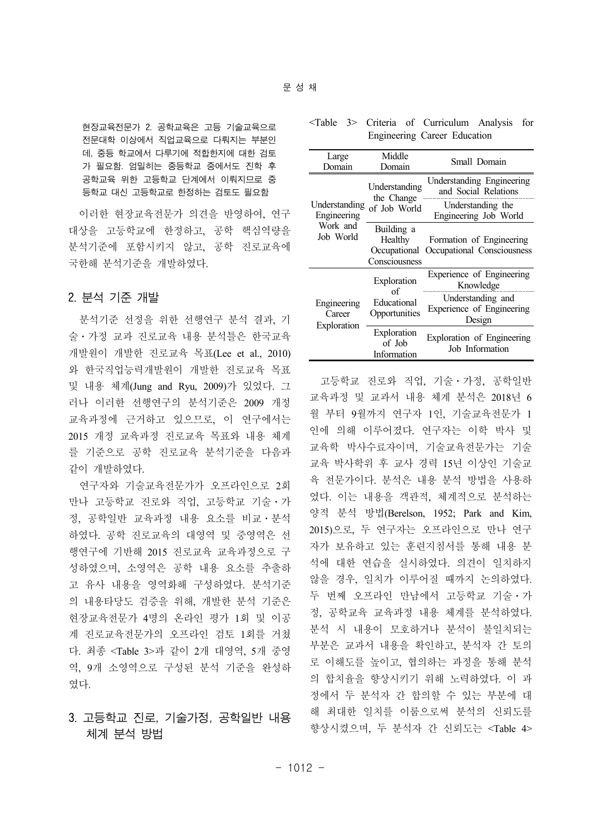현장교육전문가 2. 공학교육은 고등 기술교육으로 전문대학 이상에서 직업교육으로 다뤄지는 부분인 데, 중등 학교에서 다루기에 적합한지에 대한 검토 가 필요함. 엄밀히는 중등학교 중에서도 진학 후 공학교육 위한 고등학교 단계에서 이뤄지므로 중 등학교 대신 고등학교로 한정하는 검토도 필요함

이러한 현장교육전문가 의견을 반영하여, 연구 대상을 고등학교에 한정하고, 공학 핵심역량을 분석기준에 포함시키지 않고, 공학 진로교육에 국한해 분석기준을 개발하였다.

#### 2. 분석 기준 개발

분석기준 선정을 위한 선행연구 분석 결과, 기 술ㆍ가정 교과 진로교육 내용 분석틀은 한국교육 개발원이 개발한 진로교육 목표(Lee et al., 2010) 와 한국직업능력개발원이 개발한 진로교육 목표 및 내용 체계(Jung and Ryu, 2009)가 있었다. 그 러나 이러한 선행연구의 분석기준은 2009 개정 교육과정에 근거하고 있으므로, 이 연구에서는 2015 개정 교육과정 진로교육 목표와 내용 체계 를 기준으로 공학 진로교육 분석기준을 다음과 같이 개발하였다.

연구자와 기술교육전문가가 오프라인으로 2회 만나 고등학교 진로와 직업, 고등학교 기술ㆍ가 정, 공학일반 교육과정 내용 요소를 비교ㆍ분석 하였다. 공학 진로교육의 대영역 및 중영역은 선 행연구에 기반해 2015 진로교육 교육과정으로 구 성하였으며, 소영역은 공학 내용 요소를 추출하 고 유사 내용을 영역화해 구성하였다. 분석기준 의 내용타당도 검증을 위해, 개발한 분석 기준은 현장교육전문가 4명의 온라인 평가 1회 및 이공 계 진로교육전문가의 오프라인 검토 1회를 거쳤 다. 최종 <Table 3>과 같이 2개 대영역, 5개 중영 역, 9개 소영역으로 구성된 분석 기준을 완성하 였다.

## 3. 고등학교 진로, 기술가정, 공학일반 내용 체계 분석 방법

#### <Table 3> Criteria of Curriculum Analysis for Engineering Career Education

| Large<br>Domain                      | Middle<br>Domain                                       | Small Domain                                             |
|--------------------------------------|--------------------------------------------------------|----------------------------------------------------------|
|                                      | Understanding                                          | Understanding Engineering<br>and Social Relations        |
| Understanding<br>Engineering         | the Change<br>of Job World                             | Understanding the<br>Engineering Job World               |
| Work and<br>Job World                | Building a<br>Healthy<br>Occupational<br>Consciousness | Formation of Engineering<br>Occupational Consciousness   |
|                                      | Exploration<br>of                                      | Experience of Engineering<br>Knowledge                   |
| Engineering<br>Career<br>Exploration | Educational<br>Opportunities                           | Understanding and<br>Experience of Engineering<br>Design |
|                                      | Exploration<br>of Job<br>Information                   | Exploration of Engineering<br>Job Information            |

고등학교 진로와 직업, 기술ㆍ가정, 공학일반 교육과정 및 교과서 내용 체계 분석은 2018년 6 월 부터 9월까지 연구자 1인, 기술교육전문가 1 인에 의해 이루어졌다. 연구자는 이학 박사 및 교육학 박사수료자이며, 기술교육전문가는 기술 교육 박사학위 후 교사 경력 15년 이상인 기술교 육 전문가이다. 분석은 내용 분석 방법을 사용하 였다. 이는 내용을 객관적, 체계적으로 분석하는 양적 분석 방법(Berelson, 1952; Park and Kim, 2015)으로, 두 연구자는 오프라인으로 만나 연구 자가 보유하고 있는 훈련지침서를 통해 내용 분 석에 대한 연습을 실시하였다. 의견이 일치하지 않을 경우, 일치가 이루어질 때까지 논의하였다. 두 번째 오프라인 만남에서 고등학교 기술ㆍ가 정, 공학교육 교육과정 내용 체계를 분석하였다. 분석 시 내용이 모호하거나 분석이 불일치되는 부분은 교과서 내용을 확인하고, 분석자 간 토의 로 이해도를 높이고, 협의하는 과정을 통해 분석 의 합치율을 향상시키기 위해 노력하였다. 이 과 정에서 두 분석자 간 합의할 수 있는 부분에 대 해 최대한 일치를 이룸으로써 분석의 신뢰도를 향상시켰으며, 두 분석자 간 신뢰도는 <Table 4>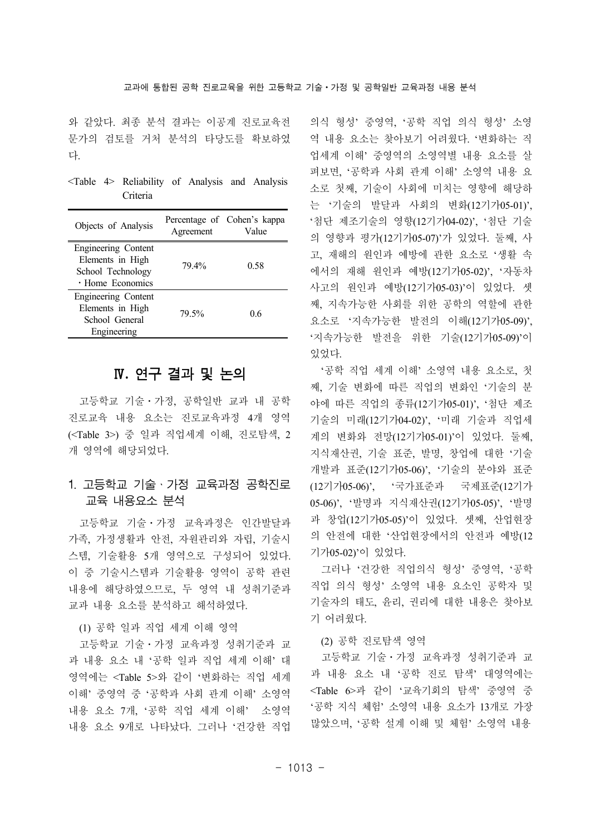와 같았다. 최종 분석 결과는 이공계 진로교육전 문가의 검토를 거처 분석의 타당도를 확보하였 다.

<Table 4> Reliability of Analysis and Analysis Criteria

| Objects of Analysis                                                              | Agreement | Percentage of Cohen's kappa<br>Value |
|----------------------------------------------------------------------------------|-----------|--------------------------------------|
| Engineering Content<br>Elements in High<br>School Technology<br>· Home Economics | 79.4%     | 0.58                                 |
| Engineering Content<br>Elements in High<br>School General<br>Engineering         | 79.5%     | 06                                   |

## Ⅳ**.** 연구 결과 및 논의

고등학교 기술ㆍ가정, 공학일반 교과 내 공학 진로교육 내용 요소는 진로교육과정 4개 영역 (<Table 3>) 중 일과 직업세계 이해, 진로탐색, 2 개 영역에 해당되었다.

## 1. 고등학교 기술ㆍ가정 교육과정 공학진로 교육 내용요소 분석

고등학교 기술ㆍ가정 교육과정은 인간발달과 가족, 가정생활과 안전, 자원관리와 자립, 기술시 스템, 기술활용 5개 영역으로 구성되어 있었다. 이 중 기술시스템과 기술활용 영역이 공학 관련 내용에 해당하였으므로, 두 영역 내 성취기준과 교과 내용 요소를 분석하고 해석하였다.

#### (1) 공학 일과 직업 세계 이해 영역

고등학교 기술ㆍ가정 교육과정 성취기준과 교 과 내용 요소 내 '공학 일과 직업 세계 이해' 대 영역에는 <Table 5>와 같이 '변화하는 직업 세계 이해' 중영역 중 '공학과 사회 관계 이해' 소영역 내용 요소 7개, '공학 직업 세계 이해' 소영역 내용 요소 9개로 나타났다. 그러나 '건강한 직업 의식 형성' 중영역, '공학 직업 의식 형성' 소영 역 내용 요소는 찾아보기 어려웠다. '변화하는 직 업세계 이해' 중영역의 소영역별 내용 요소를 살 펴보면, '공학과 사회 관계 이해' 소영역 내용 요 소로 첫째, 기술이 사회에 미치는 영향에 해당하 는 '기술의 발달과 사회의 변화(12기가05-01)', '첨단 제조기술의 영향(12기가04-02)', '첨단 기술 의 영향과 평가(12기가05-07)'가 있었다. 둘째, 사 고, 재해의 원인과 예방에 관한 요소로 '생활 속 에서의 재해 원인과 예방(12기가05-02)', '자동차 사고의 원인과 예방(12기가05-03)'이 있었다. 셋 째, 지속가능한 사회를 위한 공학의 역할에 관한 요소로 '지속가능한 발전의 이해(12기가05-09)', '지속가능한 발전을 위한 기술(12기가05-09)'이 있었다.

'공학 직업 세계 이해' 소영역 내용 요소로, 첫 째, 기술 변화에 따른 직업의 변화인 '기술의 분 야에 따른 직업의 종류(12기가05-01)', '첨단 제조 기술의 미래(12기가04-02)', '미래 기술과 직업세 계의 변화와 전망(12기가05-01)'이 있었다. 둘째, 지식재산권, 기술 표준, 발명, 창업에 대한 '기술 개발과 표준(12기가05-06)', '기술의 분야와 표준 (12기가05-06)', '국가표준과 국제표준(12기가 05-06)', '발명과 지식재산권(12기가05-05)', '발명 과 창업(12기가05-05)'이 있었다. 셋째, 산업현장 의 안전에 대한 '산업현장에서의 안전과 예방(12 기가05-02)'이 있었다.

그러나 '건강한 직업의식 형성' 중영역, '공학 직업 의식 형성' 소영역 내용 요소인 공학자 및 기술자의 태도, 윤리, 권리에 대한 내용은 찾아보 기 어려웠다.

#### (2) 공학 진로탐색 영역

고등학교 기술ㆍ가정 교육과정 성취기준과 교 과 내용 요소 내 '공학 진로 탐색' 대영역에는 <Table 6>과 같이 '교육기회의 탐색' 중영역 중 '공학 지식 체험' 소영역 내용 요소가 13개로 가장 많았으며, '공학 설계 이해 및 체험' 소영역 내용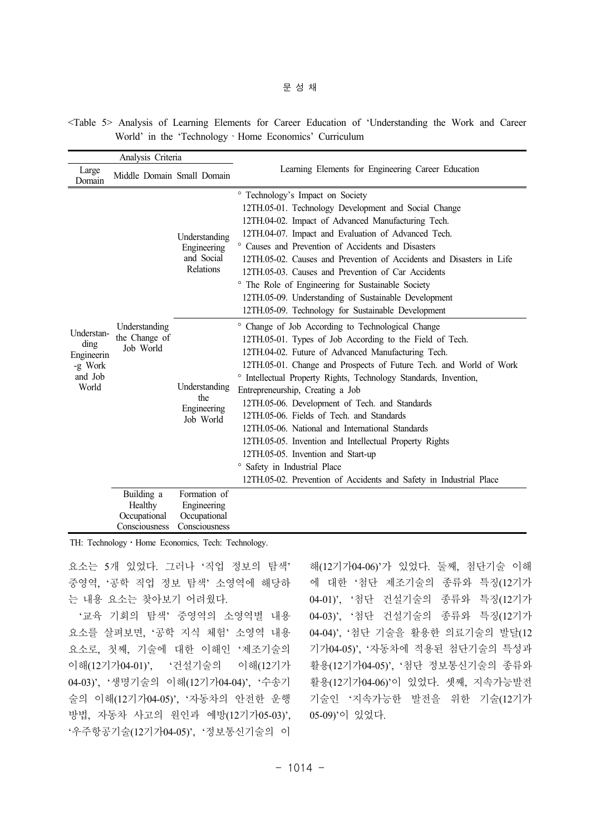#### 문성채

<Table 5> Analysis of Learning Elements for Career Education of 'Understanding the Work and Career World' in the 'TechnologyㆍHome Economics' Curriculum

| Analysis Criteria                                               |                                                        |                                                              |                                                                                                                                                                                                                                                                                                                                                                                                                                                                                                                                                                                                                                                                                                                       |  |
|-----------------------------------------------------------------|--------------------------------------------------------|--------------------------------------------------------------|-----------------------------------------------------------------------------------------------------------------------------------------------------------------------------------------------------------------------------------------------------------------------------------------------------------------------------------------------------------------------------------------------------------------------------------------------------------------------------------------------------------------------------------------------------------------------------------------------------------------------------------------------------------------------------------------------------------------------|--|
| Large<br>Domain                                                 | Middle Domain Small Domain                             |                                                              | Learning Elements for Engineering Career Education                                                                                                                                                                                                                                                                                                                                                                                                                                                                                                                                                                                                                                                                    |  |
| Understan-<br>ding<br>Engineerin<br>-g Work<br>and Job<br>World | Understanding<br>the Change of<br>Job World            | Understanding<br>Engineering<br>and Social<br>Relations      | ° Technology's Impact on Society<br>12TH.05-01. Technology Development and Social Change<br>12TH.04-02. Impact of Advanced Manufacturing Tech.<br>12TH.04-07. Impact and Evaluation of Advanced Tech.<br>° Causes and Prevention of Accidents and Disasters<br>12TH 05-02. Causes and Prevention of Accidents and Disasters in Life<br>12TH.05-03. Causes and Prevention of Car Accidents<br>The Role of Engineering for Sustainable Society<br>$\circ$<br>12TH.05-09. Understanding of Sustainable Development<br>12TH.05-09. Technology for Sustainable Development                                                                                                                                                 |  |
|                                                                 |                                                        | Understanding<br>the<br>Engineering<br>Job World             | ° Change of Job According to Technological Change<br>12TH.05-01. Types of Job According to the Field of Tech.<br>12TH.04-02. Future of Advanced Manufacturing Tech.<br>12TH.05-01. Change and Prospects of Future Tech. and World of Work<br>° Intellectual Property Rights, Technology Standards, Invention,<br>Entrepreneurship, Creating a Job<br>12TH.05-06. Development of Tech. and Standards<br>12TH 05-06. Fields of Tech. and Standards<br>12TH.05-06. National and International Standards<br>12TH.05-05. Invention and Intellectual Property Rights<br>12TH.05-05. Invention and Start-up<br><sup>o</sup> Safety in Industrial Place<br>12TH.05-02. Prevention of Accidents and Safety in Industrial Place |  |
|                                                                 | Building a<br>Healthy<br>Occupational<br>Consciousness | Formation of<br>Engineering<br>Occupational<br>Consciousness |                                                                                                                                                                                                                                                                                                                                                                                                                                                                                                                                                                                                                                                                                                                       |  |

TH: Technology · Home Economics, Tech: Technology.

요소는 5개 있었다. 그러나 '직업 정보의 탐색' 중영역, '공학 직업 정보 탐색' 소영역에 해당하 는 내용 요소는 찾아보기 어려웠다.

'교육 기회의 탐색' 중영역의 소영역별 내용 요소를 살펴보면, '공학 지식 체험' 소영역 내용 요소로, 첫째, 기술에 대한 이해인 '제조기술의 이해(12기가04-01)', '건설기술의 이해(12기가 04-03)', '생명기술의 이해(12기가04-04)', '수송기 술의 이해(12기가04-05)', '자동차의 안전한 운행 방법, 자동차 사고의 원인과 예방(12기가05-03)', '우주항공기술(12기가04-05)', '정보통신기술의 이

해(12기가04-06)'가 있었다. 둘째, 첨단기술 이해 에 대한 '첨단 제조기술의 종류와 특징(12기가 04-01)', '첨단 건설기술의 종류와 특징(12기가 04-03)', '첨단 건설기술의 종류와 특징(12기가 04-04)', '첨단 기술을 활용한 의료기술의 발달(12 기가04-05)', '자동차에 적용된 첨단기술의 특성과 활용(12기가04-05)', '첨단 정보통신기술의 종류와 활용(12기가04-06)'이 있었다. 셋째, 지속가능발전 기술인 '지속가능한 발전을 위한 기술(12기가 05-09)'이 있었다.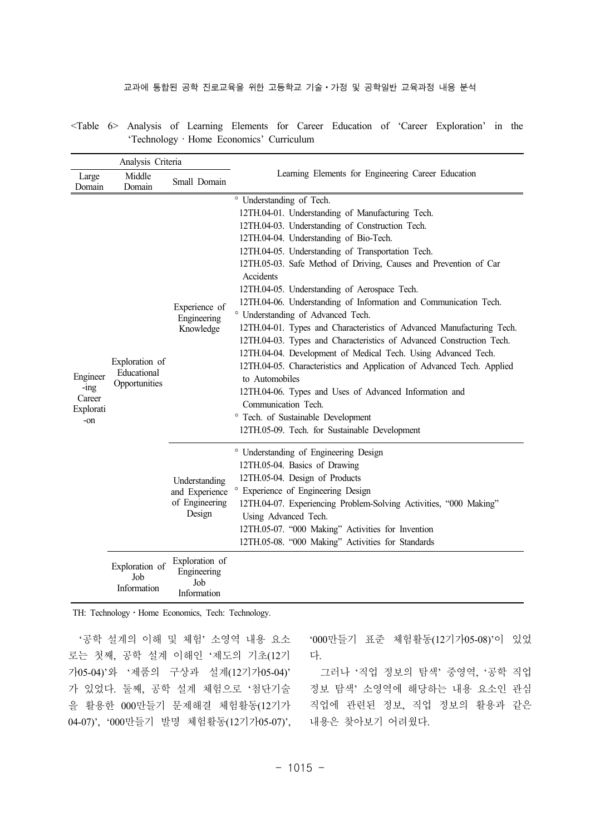#### 교과에 통합된 공학 진로교육을 위한 고등학교 기술 · 가정 및 공학일반 교육과정 내용 분석

<Table 6> Analysis of Learning Elements for Career Education of 'Career Exploration' in the 'TechnologyㆍHome Economics' Curriculum

| Analysis Criteria                                 |                                                |                                                             |                                                                                                                                                                                                                                                                                                                                                                                                                                                                                                                                                                                                                                                                                                                                                                                                                                                                                                                                                               |  |
|---------------------------------------------------|------------------------------------------------|-------------------------------------------------------------|---------------------------------------------------------------------------------------------------------------------------------------------------------------------------------------------------------------------------------------------------------------------------------------------------------------------------------------------------------------------------------------------------------------------------------------------------------------------------------------------------------------------------------------------------------------------------------------------------------------------------------------------------------------------------------------------------------------------------------------------------------------------------------------------------------------------------------------------------------------------------------------------------------------------------------------------------------------|--|
| Large<br>Domain                                   | Middle<br>Domain                               | Small Domain                                                | Learning Elements for Engineering Career Education                                                                                                                                                                                                                                                                                                                                                                                                                                                                                                                                                                                                                                                                                                                                                                                                                                                                                                            |  |
| Engineer<br>$-$ ing<br>Career<br>Explorati<br>-on | Exploration of<br>Educational<br>Opportunities | Experience of<br>Engineering<br>Knowledge                   | ° Understanding of Tech.<br>12TH.04-01. Understanding of Manufacturing Tech.<br>12TH.04-03. Understanding of Construction Tech.<br>12TH.04-04. Understanding of Bio-Tech.<br>12TH.04-05. Understanding of Transportation Tech.<br>12TH.05-03. Safe Method of Driving, Causes and Prevention of Car<br>Accidents<br>12TH.04-05. Understanding of Aerospace Tech.<br>12TH.04-06. Understanding of Information and Communication Tech.<br>° Understanding of Advanced Tech.<br>12TH.04-01. Types and Characteristics of Advanced Manufacturing Tech.<br>12TH.04-03. Types and Characteristics of Advanced Construction Tech.<br>12TH.04-04. Development of Medical Tech. Using Advanced Tech.<br>12TH.04-05. Characteristics and Application of Advanced Tech. Applied<br>to Automobiles<br>12TH.04-06. Types and Uses of Advanced Information and<br>Communication Tech.<br>° Tech. of Sustainable Development<br>12TH.05-09. Tech. for Sustainable Development |  |
|                                                   |                                                | Understanding<br>and Experience<br>of Engineering<br>Design | <sup>o</sup> Understanding of Engineering Design<br>12TH.05-04. Basics of Drawing<br>12TH.05-04. Design of Products<br>° Experience of Engineering Design<br>12TH.04-07. Experiencing Problem-Solving Activities, "000 Making"<br>Using Advanced Tech.<br>12TH.05-07. "000 Making" Activities for Invention<br>12TH.05-08. "000 Making" Activities for Standards                                                                                                                                                                                                                                                                                                                                                                                                                                                                                                                                                                                              |  |
|                                                   | Exploration of<br>Job<br>Information           | Exploration of<br>Engineering<br>Job<br>Information         |                                                                                                                                                                                                                                                                                                                                                                                                                                                                                                                                                                                                                                                                                                                                                                                                                                                                                                                                                               |  |

TH: Technology · Home Economics, Tech: Technology.

'공학 설계의 이해 및 체험' 소영역 내용 요소 로는 첫째, 공학 설계 이해인 '제도의 기초(12기 가05-04)'와 '제품의 구상과 설계(12기가05-04)' 가 있었다. 둘째, 공학 설계 체험으로 '첨단기술 을 활용한 000만들기 문제해결 체험활동(12기가 04-07)', '000만들기 발명 체험활동(12기가05-07)', '000만들기 표준 체험활동(12기가05-08)'이 있었 다.

그러나 '직업 정보의 탐색' 중영역, '공학 직업 정보 탐색' 소영역에 해당하는 내용 요소인 관심 직업에 관련된 정보, 직업 정보의 활용과 같은 내용은 찾아보기 어려웠다.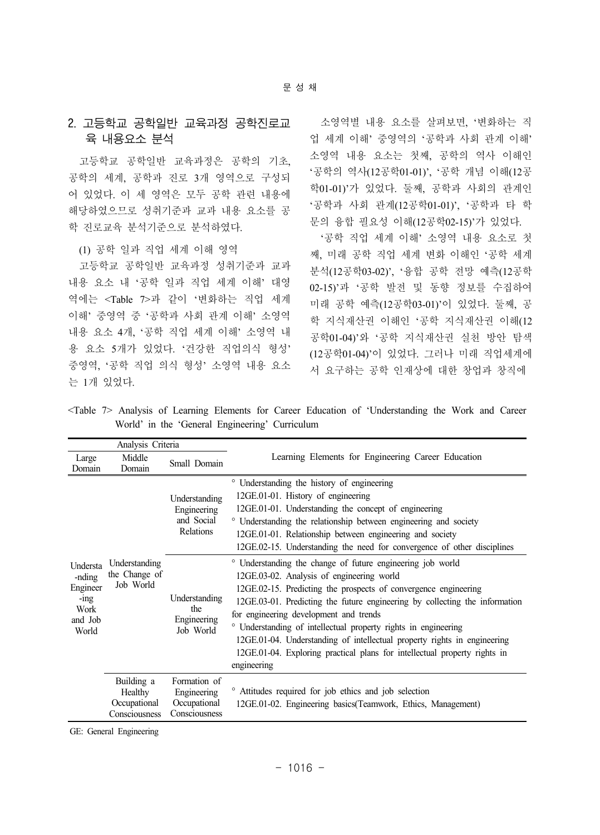## 2. 고등학교 공학일반 교육과정 공학진로교 육 내용요소 분석

고등학교 공학일반 교육과정은 공학의 기초, 공학의 세계, 공학과 진로 3개 영역으로 구성되 어 있었다. 이 세 영역은 모두 공학 관련 내용에 해당하였으므로 성취기준과 교과 내용 요소를 공 학 진로교육 분석기준으로 분석하였다.

(1) 공학 일과 직업 세계 이해 영역

고등학교 공학일반 교육과정 성취기준과 교과 내용 요소 내 '공학 일과 직업 세계 이해' 대영 역에는 <Table 7>과 같이 '변화하는 직업 세계 이해' 중영역 중 '공학과 사회 관계 이해' 소영역 내용 요소 4개, '공학 직업 세계 이해' 소영역 내 용 요소 5개가 있었다. '건강한 직업의식 형성' 중영역, '공학 직업 의식 형성' 소영역 내용 요소 는 1개 있었다.

소영역별 내용 요소를 살펴보면, '변화하는 직 업 세계 이해' 중영역의 '공학과 사회 관계 이해' 소영역 내용 요소는 첫째, 공학의 역사 이해인 '공학의 역사(12공학01-01)', '공학 개념 이해(12공 학01-01)'가 있었다. 둘째, 공학과 사회의 관계인 '공학과 사회 관계(12공학01-01)', '공학과 타 학 문의 융합 필요성 이해(12공학02-15)'가 있었다.

'공학 직업 세계 이해' 소영역 내용 요소로 첫 째, 미래 공학 직업 세계 변화 이해인 '공학 세계 분석(12공학03-02)', '융합 공학 전망 예측(12공학 02-15)'과 '공학 발전 및 동향 정보를 수집하여 미래 공학 예측(12공학03-01)'이 있었다. 둘째, 공 학 지식재산권 이해인 '공학 지식재산권 이해(12 공학01-04)'와 '공학 지식재산권 실천 방안 탐색 (12공학01-04)'이 있었다. 그러나 미래 직업세계에 서 요구하는 공학 인재상에 대한 창업과 창직에

<Table 7> Analysis of Learning Elements for Career Education of 'Understanding the Work and Career World' in the 'General Engineering' Curriculum

| Analysis Criteria                                                     |                                                        |                                                                |                                                                                                                                                                                                                                                                                                                                                                                                                                                                                                                                               |
|-----------------------------------------------------------------------|--------------------------------------------------------|----------------------------------------------------------------|-----------------------------------------------------------------------------------------------------------------------------------------------------------------------------------------------------------------------------------------------------------------------------------------------------------------------------------------------------------------------------------------------------------------------------------------------------------------------------------------------------------------------------------------------|
| Large<br>Domain                                                       | Middle<br>Domain                                       | Small Domain                                                   | Learning Elements for Engineering Career Education                                                                                                                                                                                                                                                                                                                                                                                                                                                                                            |
| Understa<br>-nding<br>Engineer<br>$-$ ing<br>Work<br>and Job<br>World | Understanding<br>the Change of<br>Job World            | Understanding<br>Engineering<br>and Social<br><b>Relations</b> | <sup>o</sup> Understanding the history of engineering<br>12GE.01-01. History of engineering<br>12GE.01-01. Understanding the concept of engineering<br>° Understanding the relationship between engineering and society<br>12GE.01-01. Relationship between engineering and society<br>12GE.02-15. Understanding the need for convergence of other disciplines                                                                                                                                                                                |
|                                                                       |                                                        | Understanding<br>the<br>Engineering<br>Job World               | ° Understanding the change of future engineering job world<br>12GE.03-02. Analysis of engineering world<br>12GE.02-15. Predicting the prospects of convergence engineering<br>12GE.03-01. Predicting the future engineering by collecting the information<br>for engineering development and trends<br>° Understanding of intellectual property rights in engineering<br>12GE.01-04. Understanding of intellectual property rights in engineering<br>12GE.01-04. Exploring practical plans for intellectual property rights in<br>engineering |
|                                                                       | Building a<br>Healthy<br>Occupational<br>Consciousness | Formation of<br>Engineering<br>Occupational<br>Consciousness   | <sup>o</sup> Attitudes required for job ethics and job selection<br>12GE.01-02. Engineering basics (Teamwork, Ethics, Management)                                                                                                                                                                                                                                                                                                                                                                                                             |

GE: General Engineering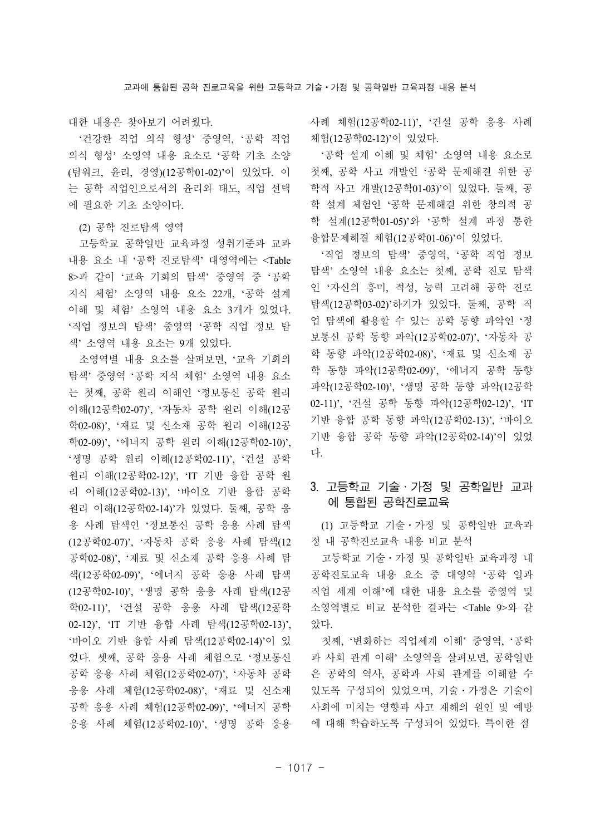대한 내용은 찾아보기 어려웠다.

'건강한 직업 의식 형성' 중영역, '공학 직업 의식 형성' 소영역 내용 요소로 '공학 기초 소양 (팀워크, 윤리, 경영)(12공학01-02)'이 있었다. 이 는 공학 직업인으로서의 윤리와 태도, 직업 선택 에 필요한 기초 소양이다.

#### (2) 공학 진로탐색 영역

고등학교 공학일반 교육과정 성취기준과 교과 내용 요소 내 '공학 진로탐색' 대영역에는 <Table 8>과 같이 '교육 기회의 탐색' 중영역 중 '공학 지식 체험' 소영역 내용 요소 22개, '공학 설계 이해 및 체험' 소영역 내용 요소 3개가 있었다. '직업 정보의 탐색' 중영역 '공학 직업 정보 탐 색' 소영역 내용 요소는 9개 있었다.

소영역별 내용 요소를 살펴보면, '교육 기회의 탐색' 중영역 '공학 지식 체험' 소영역 내용 요소 는 첫째, 공학 원리 이해인 '정보통신 공학 원리 이해(12공학02-07)', '자동차 공학 원리 이해(12공 학02-08)', '재료 및 신소재 공학 원리 이해(12공 학02-09)', '에너지 공학 원리 이해(12공학02-10)', '생명 공학 원리 이해(12공학02-11)', '건설 공학 원리 이해(12공학02-12)', 'IT 기반 융합 공학 원 리 이해(12공학02-13)', '바이오 기반 융합 공학 원리 이해(12공학02-14)'가 있었다. 둘째, 공학 응 용 사례 탐색인 '정보통신 공학 응용 사례 탐색 (12공학02-07)', '자동차 공학 응용 사례 탐색(12 공학02-08)', '재료 및 신소재 공학 응용 사례 탐 색(12공학02-09)', '에너지 공학 응용 사례 탐색 (12공학02-10)', '생명 공학 응용 사례 탐색(12공 학02-11)', '건설 공학 응용 사례 탐색(12공학 02-12)', 'IT 기반 융합 사례 탐색(12공학02-13)', '바이오 기반 융합 사례 탐색(12공학02-14)'이 있 었다. 셋째, 공학 응용 사례 체험으로 '정보통신 공학 응용 사례 체험(12공학02-07)', '자동차 공학 응용 사례 체험(12공학02-08)', '재료 및 신소재 공학 응용 사례 체험(12공학02-09)', '에너지 공학 응용 사례 체험(12공학02-10)', '생명 공학 응용 사례 체험(12공학02-11)', '건설 공학 응용 사례 체험(12공학02-12)'이 있었다.

'공학 설계 이해 및 체험' 소영역 내용 요소로 첫째, 공학 사고 개발인 '공학 문제해결 위한 공 학적 사고 개발(12공학01-03)'이 있었다. 둘째, 공 학 설계 체험인 '공학 문제해결 위한 창의적 공 학 설계(12공학01-05)'와 '공학 설계 과정 통한 융합문제해결 체험(12공학01-06)'이 있었다.

'직업 정보의 탐색' 중영역, '공학 직업 정보 탐색' 소영역 내용 요소는 첫째, 공학 진로 탐색 인 '자신의 흥미, 적성, 능력 고려해 공학 진로 탐색(12공학03-02)'하기가 있었다. 둘째, 공학 직 업 탐색에 활용할 수 있는 공학 동향 파악인 '정 보통신 공학 동향 파악(12공학02-07)', '자동차 공 학 동향 파악(12공학02-08)', '재료 및 신소재 공 학 동향 파악(12공학02-09)', '에너지 공학 동향 파악(12공학02-10)', '생명 공학 동향 파악(12공학 02-11)', '건설 공학 동향 파악(12공학02-12)', 'IT 기반 융합 공학 동향 파악(12공학02-13)', '바이오 기반 융합 공학 동향 파악(12공학02-14)'이 있었 다.

## 3. 고등학교 기술ㆍ가정 및 공학일반 교과 에 통합된 공학진로교육

(1) 고등학교 기술ㆍ가정 및 공학일반 교육과 정 내 공학진로교육 내용 비교 분석

고등학교 기술ㆍ가정 및 공학일반 교육과정 내 공학진로교육 내용 요소 중 대영역 '공학 일과 직업 세계 이해'에 대한 내용 요소를 중영역 및 소영역별로 비교 분석한 결과는 <Table 9>와 같 았다.

첫째, '변화하는 직업세계 이해' 중영역, '공학 과 사회 관계 이해' 소영역을 살펴보면, 공학일반 은 공학의 역사, 공학과 사회 관계를 이해할 수 있도록 구성되어 있었으며, 기술ㆍ가정은 기술이 사회에 미치는 영향과 사고 재해의 원인 및 예방 에 대해 학습하도록 구성되어 있었다. 특이한 점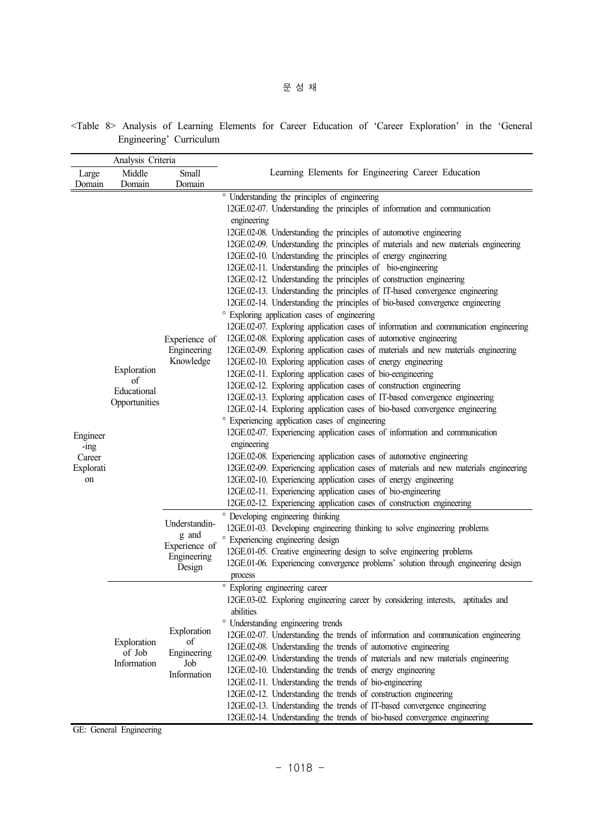|                                                           | Analysis Criteria                                 |                                                                  |                                                                                                                                                                                                                                                                                                                                                                                                                                                                                                                                                                                                                                                                                                                                                                                                                                                                                                                                                                                                                                                                                                                                                                                                                                                                                                                                                                                                                                                                                                                                                                                                                                                                                                                                                                                                                                                                                            |
|-----------------------------------------------------------|---------------------------------------------------|------------------------------------------------------------------|--------------------------------------------------------------------------------------------------------------------------------------------------------------------------------------------------------------------------------------------------------------------------------------------------------------------------------------------------------------------------------------------------------------------------------------------------------------------------------------------------------------------------------------------------------------------------------------------------------------------------------------------------------------------------------------------------------------------------------------------------------------------------------------------------------------------------------------------------------------------------------------------------------------------------------------------------------------------------------------------------------------------------------------------------------------------------------------------------------------------------------------------------------------------------------------------------------------------------------------------------------------------------------------------------------------------------------------------------------------------------------------------------------------------------------------------------------------------------------------------------------------------------------------------------------------------------------------------------------------------------------------------------------------------------------------------------------------------------------------------------------------------------------------------------------------------------------------------------------------------------------------------|
| Large                                                     | Middle                                            | Small                                                            | Learning Elements for Engineering Career Education                                                                                                                                                                                                                                                                                                                                                                                                                                                                                                                                                                                                                                                                                                                                                                                                                                                                                                                                                                                                                                                                                                                                                                                                                                                                                                                                                                                                                                                                                                                                                                                                                                                                                                                                                                                                                                         |
|                                                           | Domain                                            | Domain                                                           |                                                                                                                                                                                                                                                                                                                                                                                                                                                                                                                                                                                                                                                                                                                                                                                                                                                                                                                                                                                                                                                                                                                                                                                                                                                                                                                                                                                                                                                                                                                                                                                                                                                                                                                                                                                                                                                                                            |
| Domain<br>Engineer<br>$-1ng$<br>Career<br>Explorati<br>on | Exploration<br>of<br>Educational<br>Opportunities | Experience of<br>Engineering<br>Knowledge                        | ° Understanding the principles of engineering<br>12GE.02-07. Understanding the principles of information and communication<br>engineering<br>12GE.02-08. Understanding the principles of automotive engineering<br>12GE.02-09. Understanding the principles of materials and new materials engineering<br>12GE.02-10. Understanding the principles of energy engineering<br>12GE.02-11. Understanding the principles of bio-engineering<br>12GE.02-12. Understanding the principles of construction engineering<br>12GE.02-13. Understanding the principles of IT-based convergence engineering<br>12GE.02-14. Understanding the principles of bio-based convergence engineering<br>° Exploring application cases of engineering<br>12GE.02-07. Exploring application cases of information and communication engineering<br>12GE.02-08. Exploring application cases of automotive engineering<br>12GE.02-09. Exploring application cases of materials and new materials engineering<br>12GE.02-10. Exploring application cases of energy engineering<br>12GE.02-11. Exploring application cases of bio-eengineering<br>12GE.02-12. Exploring application cases of construction engineering<br>12GE.02-13. Exploring application cases of IT-based convergence engineering<br>12GE.02-14. Exploring application cases of bio-based convergence engineering<br>° Experiencing application cases of engineering<br>12GE.02-07. Experiencing application cases of information and communication<br>engineering<br>12GE.02-08. Experiencing application cases of automotive engineering<br>12GE.02-09. Experiencing application cases of materials and new materials engineering<br>12GE.02-10. Experiencing application cases of energy engineering<br>12GE.02-11. Experiencing application cases of bio-engineering<br>12GE.02-12. Experiencing application cases of construction engineering |
|                                                           |                                                   | Understandin-<br>g and<br>Experience of<br>Engineering<br>Design | ° Developing engineering thinking<br>12GE.01-03. Developing engineering thinking to solve engineering problems<br>Experiencing engineering design<br>12GE.01-05. Creative engineering design to solve engineering problems<br>12GE.01-06. Experiencing convergence problems' solution through engineering design<br>process                                                                                                                                                                                                                                                                                                                                                                                                                                                                                                                                                                                                                                                                                                                                                                                                                                                                                                                                                                                                                                                                                                                                                                                                                                                                                                                                                                                                                                                                                                                                                                |
|                                                           | Exploration<br>of Job<br>Information              | Exploration<br>of<br>Engineering<br>Job<br>Information           | ° Exploring engineering career<br>12GE.03-02. Exploring engineering career by considering interests, aptitudes and<br>abilities<br>° Understanding engineering trends<br>12GE.02-07. Understanding the trends of information and communication engineering<br>12GE.02-08. Understanding the trends of automotive engineering<br>12GE.02-09. Understanding the trends of materials and new materials engineering<br>12GE.02-10. Understanding the trends of energy engineering<br>12GE.02-11. Understanding the trends of bio-engineering<br>12GE.02-12. Understanding the trends of construction engineering<br>12GE.02-13. Understanding the trends of IT-based convergence engineering<br>12GE.02-14. Understanding the trends of bio-based convergence engineering                                                                                                                                                                                                                                                                                                                                                                                                                                                                                                                                                                                                                                                                                                                                                                                                                                                                                                                                                                                                                                                                                                                      |

<Table 8> Analysis of Learning Elements for Career Education of 'Career Exploration' in the 'General Engineering' Curriculum

GE: General Engineering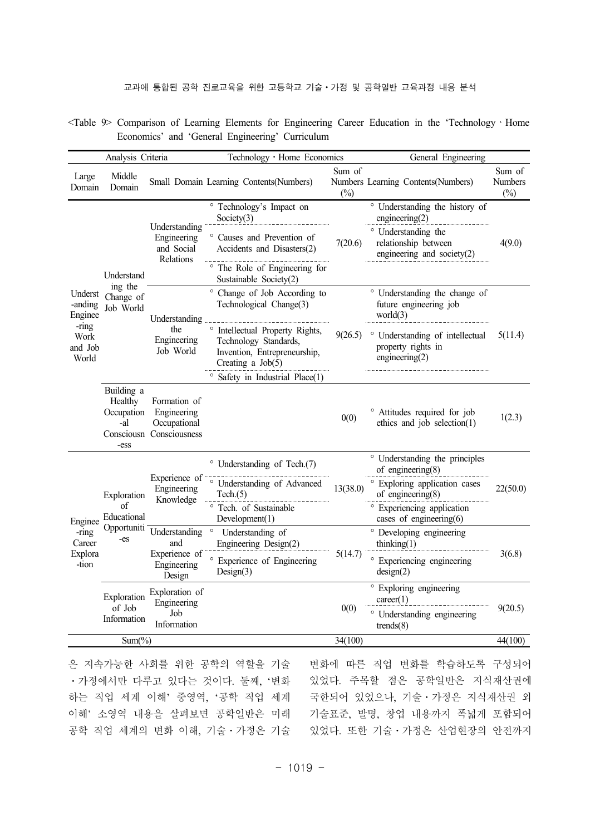<Table 9> Comparison of Learning Elements for Engineering Career Education in the 'TechnologyㆍHome Economics' and 'General Engineering' Curriculum

|                                                          | Analysis Criteria                                        |                                                                         | Technology · Home Economics                                                                                     |                  | General Engineering                                                          |                                    |
|----------------------------------------------------------|----------------------------------------------------------|-------------------------------------------------------------------------|-----------------------------------------------------------------------------------------------------------------|------------------|------------------------------------------------------------------------------|------------------------------------|
| Large<br>Domain                                          | Middle<br>Domain                                         |                                                                         | Small Domain Learning Contents(Numbers)                                                                         | Sum of<br>$(\%)$ | Numbers Learning Contents(Numbers)                                           | Sum of<br><b>Numbers</b><br>$(\%)$ |
|                                                          |                                                          | Understanding<br>Engineering<br>and Social<br>Relations                 | ° Technology's Impact on<br>Society $(3)$                                                                       |                  | ° Understanding the history of<br>engineering(2)                             | 4(9.0)                             |
|                                                          |                                                          |                                                                         | ° Causes and Prevention of<br>Accidents and Disasters(2)                                                        | 7(20.6)          | ° Understanding the<br>relationship between<br>engineering and society $(2)$ |                                    |
|                                                          | Understand<br>ing the                                    |                                                                         | The Role of Engineering for<br>Sustainable Society(2)                                                           |                  |                                                                              |                                    |
| Underst<br>-anding<br>Enginee                            | Change of<br>Job World                                   | Understanding                                                           | ° Change of Job According to<br>Technological Change(3)                                                         |                  | ° Understanding the change of<br>future engineering job<br>world $(3)$       | 5(11.4)                            |
| -ring<br>Work<br>and Job<br>World                        |                                                          | the<br>Engineering<br>Job World                                         | ° Intellectual Property Rights,<br>Technology Standards,<br>Invention, Entrepreneurship,<br>Creating a $Job(5)$ | 9(26.5)          | ° Understanding of intellectual<br>property rights in<br>engineering $(2)$   |                                    |
|                                                          |                                                          |                                                                         | ° Safety in Industrial Place(1)                                                                                 |                  |                                                                              |                                    |
|                                                          | Building a<br>Healthy<br>Occupation<br>-al<br>-ess       | Formation of<br>Engineering<br>Occupational<br>Consciousn Consciousness |                                                                                                                 | 0(0)             | <sup>o</sup> Attitudes required for job<br>ethics and job selection(1)       | 1(2.3)                             |
|                                                          | Exploration<br>of<br>Educational<br>Opportuniti<br>$-es$ | Experience of<br>Engineering<br>Knowledge                               | ° Understanding of Tech.(7)                                                                                     | 13(38.0)         | ° Understanding the principles<br>of engineering $(8)$                       | 22(50.0)                           |
|                                                          |                                                          |                                                                         | ° Understanding of Advanced<br>Tech.(5)                                                                         |                  | ° Exploring application cases<br>of engineering $(8)$                        |                                    |
| Enginee<br>$-\overline{r}$<br>Career<br>Explora<br>-tion |                                                          |                                                                         | ° Tech. of Sustainable<br>Development(1)                                                                        |                  | ° Experiencing application<br>cases of engineering $(6)$                     |                                    |
|                                                          |                                                          | Understanding<br>and<br>Experience of<br>Engineering<br>Design          | $\circ$<br>Understanding of<br>Engineering Design(2)                                                            |                  | ° Developing engineering<br>thinking $(1)$                                   | 3(6.8)                             |
|                                                          |                                                          |                                                                         | ° Experience of Engineering<br>Design(3)                                                                        | 5(14.7)          | ° Experiencing engineering<br>design(2)                                      |                                    |
|                                                          | Exploration<br>of Job<br>Information                     | Exploration of<br>Engineering<br>Job<br>Information                     |                                                                                                                 | 0(0)             | ° Exploring engineering<br>career(1)                                         | 9(20.5)                            |
|                                                          |                                                          |                                                                         |                                                                                                                 |                  | ° Understanding engineering<br>trends(8)                                     |                                    |
|                                                          | $Sum(\%)$                                                |                                                                         |                                                                                                                 | 34(100)          |                                                                              | 44(100)                            |

은 지속가능한 사회를 위한 공학의 역할을 기술 ㆍ가정에서만 다루고 있다는 것이다. 둘째, '변화 하는 직업 세계 이해' 중영역, '공학 직업 세계 이해' 소영역 내용을 살펴보면 공학일반은 미래 공학 직업 세계의 변화 이해, 기술ㆍ가정은 기술

변화에 따른 직업 변화를 학습하도록 구성되어 있었다. 주목할 점은 공학일반은 지식재산권에 국한되어 있었으나, 기술ㆍ가정은 지식재산권 외 기술표준, 발명, 창업 내용까지 폭넓게 포함되어 있었다. 또한 기술ㆍ가정은 산업현장의 안전까지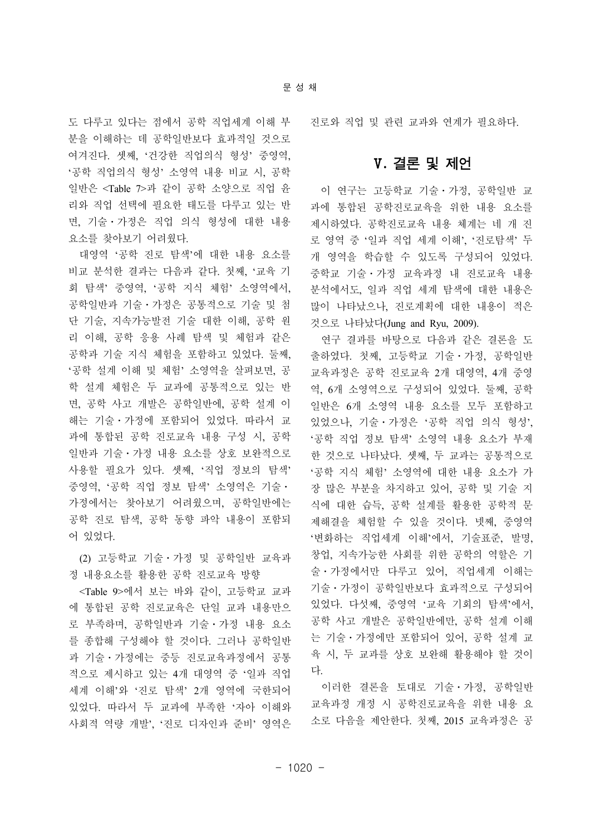도 다루고 있다는 점에서 공학 직업세계 이해 부 분을 이해하는 데 공학일반보다 효과적일 것으로 여겨진다. 셋째, '건강한 직업의식 형성' 중영역, '공학 직업의식 형성' 소영역 내용 비교 시, 공학 일반은 <Table 7>과 같이 공학 소양으로 직업 윤 리와 직업 선택에 필요한 태도를 다루고 있는 반 면, 기술ㆍ가정은 직업 의식 형성에 대한 내용 요소를 찾아보기 어려웠다.

대영역 '공학 진로 탐색'에 대한 내용 요소를 비교 분석한 결과는 다음과 같다. 첫째, '교육 기 회 탐색' 중영역, '공학 지식 체험' 소영역에서, 공학일반과 기술ㆍ가정은 공통적으로 기술 및 첨 단 기술, 지속가능발전 기술 대한 이해, 공학 원 리 이해, 공학 응용 사례 탐색 및 체험과 같은 공학과 기술 지식 체험을 포함하고 있었다. 둘째, '공학 설계 이해 및 체험' 소영역을 살펴보면, 공 학 설계 체험은 두 교과에 공통적으로 있는 반 면, 공학 사고 개발은 공학일반에, 공학 설계 이 해는 기술ㆍ가정에 포함되어 있었다. 따라서 교 과에 통합된 공학 진로교육 내용 구성 시, 공학 일반과 기술ㆍ가정 내용 요소를 상호 보완적으로 사용할 필요가 있다. 셋째, '직업 정보의 탐색' 중영역, '공학 직업 정보 탐색' 소영역은 기술ㆍ 가정에서는 찾아보기 어려웠으며, 공학일반에는 공학 진로 탐색, 공학 동향 파악 내용이 포함되 어 있었다.

(2) 고등학교 기술ㆍ가정 및 공학일반 교육과 정 내용요소를 활용한 공학 진로교육 방향

<Table 9>에서 보는 바와 같이, 고등학교 교과 에 통합된 공학 진로교육은 단일 교과 내용만으 로 부족하며, 공학일반과 기술ㆍ가정 내용 요소 를 종합해 구성해야 할 것이다. 그러나 공학일반 과 기술ㆍ가정에는 중등 진로교육과정에서 공통 적으로 제시하고 있는 4개 대영역 중 '일과 직업 세계 이해'와 '진로 탐색' 2개 영역에 국한되어 있었다. 따라서 두 교과에 부족한 '자아 이해와 사회적 역량 개발', '진로 디자인과 준비' 영역은

진로와 직업 및 관련 교과와 연계가 필요하다.

## Ⅴ**.** 결론 및 제언

이 연구는 고등학교 기술ㆍ가정, 공학일반 교 과에 통합된 공학진로교육을 위한 내용 요소를 제시하였다. 공학진로교육 내용 체계는 네 개 진 로 영역 중 '일과 직업 세계 이해', '진로탐색' 두 개 영역을 학습할 수 있도록 구성되어 있었다. 중학교 기술ㆍ가정 교육과정 내 진로교육 내용 분석에서도, 일과 직업 세계 탐색에 대한 내용은 많이 나타났으나, 진로계획에 대한 내용이 적은 것으로 나타났다(Jung and Ryu, 2009).

연구 결과를 바탕으로 다음과 같은 결론을 도 출하였다. 첫째, 고등학교 기술ㆍ가정, 공학일반 교육과정은 공학 진로교육 2개 대영역, 4개 중영 역, 6개 소영역으로 구성되어 있었다. 둘째, 공학 일반은 6개 소영역 내용 요소를 모두 포함하고 있었으나, 기술ㆍ가정은 '공학 직업 의식 형성', '공학 직업 정보 탐색' 소영역 내용 요소가 부재 한 것으로 나타났다. 셋째, 두 교과는 공통적으로 '공학 지식 체험' 소영역에 대한 내용 요소가 가 장 많은 부분을 차지하고 있어, 공학 및 기술 지 식에 대한 습득, 공학 설계를 활용한 공학적 문 제해결을 체험할 수 있을 것이다. 넷째, 중영역 '변화하는 직업세계 이해'에서, 기술표준, 발명, 창업, 지속가능한 사회를 위한 공학의 역할은 기 술ㆍ가정에서만 다루고 있어, 직업세계 이해는 기술ㆍ가정이 공학일반보다 효과적으로 구성되어 있었다. 다섯째, 중영역 '교육 기회의 탐색'에서, 공학 사고 개발은 공학일반에만, 공학 설계 이해 는 기술ㆍ가정에만 포함되어 있어, 공학 설계 교 육 시, 두 교과를 상호 보완해 활용해야 할 것이 다.

이러한 결론을 토대로 기술ㆍ가정, 공학일반 교육과정 개정 시 공학진로교육을 위한 내용 요 소로 다음을 제안한다. 첫째, 2015 교육과정은 공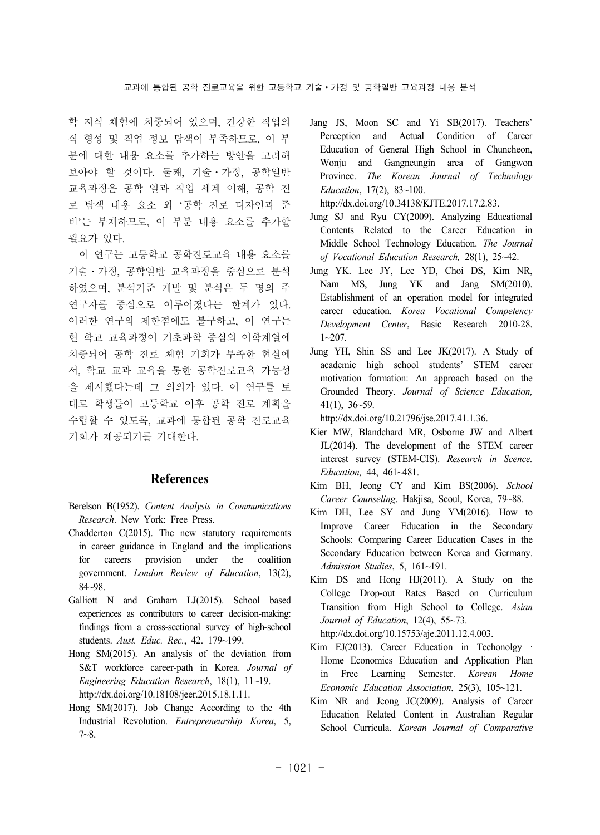학 지식 체험에 치중되어 있으며, 건강한 직업의 식 형성 및 직업 정보 탐색이 부족하므로, 이 부 분에 대한 내용 요소를 추가하는 방안을 고려해 보아야 할 것이다. 둘째, 기술ㆍ가정, 공학일반 교육과정은 공학 일과 직업 세계 이해, 공학 진 로 탐색 내용 요소 외 '공학 진로 디자인과 준 비'는 부재하므로, 이 부분 내용 요소를 추가할 필요가 있다.

이 연구는 고등학교 공학진로교육 내용 요소를 기술ㆍ가정, 공학일반 교육과정을 중심으로 분석 하였으며, 분석기준 개발 및 분석은 두 명의 주 연구자를 중심으로 이루어졌다는 한계가 있다. 이러한 연구의 제한점에도 불구하고, 이 연구는 현 학교 교육과정이 기초과학 중심의 이학계열에 치중되어 공학 진로 체험 기회가 부족한 현실에 서, 학교 교과 교육을 통한 공학진로교육 가능성 을 제시했다는데 그 의의가 있다. 이 연구를 토 대로 학생들이 고등학교 이후 공학 진로 계획을 수립할 수 있도록, 교과에 통합된 공학 진로교육 기회가 제공되기를 기대한다.

### **References**

- Berelson B(1952). *Content Analysis in Communications Research*. New York: Free Press.
- Chadderton C(2015). The new statutory requirements in career guidance in England and the implications for careers provision under the coalition government. *London Review of Education*, 13(2), 84~98.
- Galliott N and Graham LJ(2015). School based experiences as contributors to career decision-making: findings from a cross-sectional survey of high-school students. *Aust. Educ. Rec.*, 42. 179~199.
- Hong SM(2015). An analysis of the deviation from S&T workforce career-path in Korea. *Journal of Engineering Education Research*, 18(1), 11~19. http://dx.doi.org/10.18108/jeer.2015.18.1.11.
- Hong SM(2017). Job Change According to the 4th Industrial Revolution. *Entrepreneurship Korea*, 5, 7~8.

Jang JS, Moon SC and Yi SB(2017). Teachers' Perception and Actual Condition of Career Education of General High School in Chuncheon, Wonju and Gangneungin area of Gangwon Province. *The Korean Journal of Technology Education*, 17(2), 83~100.

http://dx.doi.org/10.34138/KJTE.2017.17.2.83.

- Jung SJ and Ryu CY(2009). Analyzing Educational Contents Related to the Career Education in Middle School Technology Education. *The Journal of Vocational Education Research,* 28(1), 25~42.
- Jung YK. Lee JY, Lee YD, Choi DS, Kim NR, Nam MS, Jung YK and Jang SM(2010). Establishment of an operation model for integrated career education. *Korea Vocational Competency Development Center*, Basic Research 2010-28.  $1 - 207$ .
- Jung YH, Shin SS and Lee JK(2017). A Study of academic high school students' STEM career motivation formation: An approach based on the Grounded Theory. *Journal of Science Education,* 41(1), 36~59.

http://dx.doi.org/10.21796/jse.2017.41.1.36.

- Kier MW, Blandchard MR, Osborne JW and Albert JL(2014). The development of the STEM career interest survey (STEM-CIS). *Research in Scence. Education,* 44, 461~481.
- Kim BH, Jeong CY and Kim BS(2006). *School Career Counseling*. Hakjisa, Seoul, Korea, 79~88.
- Kim DH, Lee SY and Jung YM(2016). How to Improve Career Education in the Secondary Schools: Comparing Career Education Cases in the Secondary Education between Korea and Germany. *Admission Studies*, 5, 161~191.
- Kim DS and Hong HJ(2011). A Study on the College Drop-out Rates Based on Curriculum Transition from High School to College. *Asian Journal of Education*, 12(4), 55~73.

http://dx.doi.org/10.15753/aje.2011.12.4.003.

- Kim EJ(2013). Career Education in Techonolgy · Home Economics Education and Application Plan in Free Learning Semester. *Korean Home Economic Education Association*, 25(3), 105~121.
- Kim NR and Jeong JC(2009). Analysis of Career Education Related Content in Australian Regular School Curricula. *Korean Journal of Comparative*